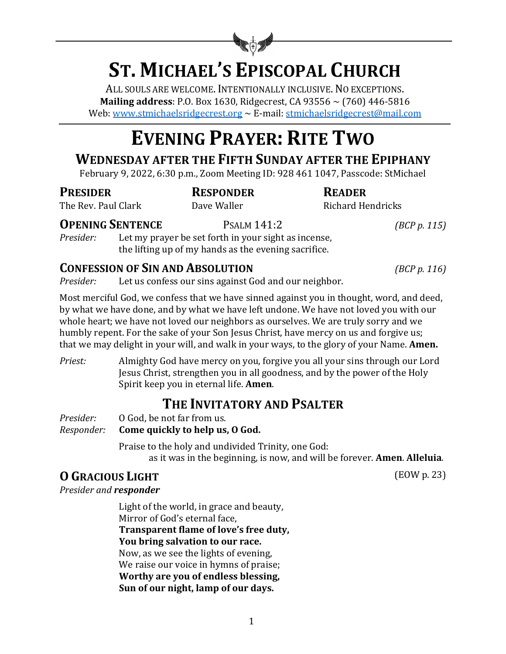

# **ST. MICHAEL'S EPISCOPAL CHURCH**

ALL SOULS ARE WELCOME. INTENTIONALLY INCLUSIVE. NO EXCEPTIONS. **Mailing address**: P.O. Box 1630, Ridgecrest, CA 93556  $\sim$  (760) 446-5816 Web: www.stmichaelsridgecrest.org  $\sim$  E-mail: stmichaelsridgecrest@mail.com

# **EVENING PRAYER: RITE TWO**

# **WEDNESDAY AFTER THE FIFTH SUNDAY AFTER THE EPIPHANY**

February 9, 2022, 6:30 p.m., Zoom Meeting ID: 928 461 1047, Passcode: StMichael

**PRESIDER RESPONDER READER**

The Rev. Paul Clark **Dave Waller** Dave Waller Richard Hendricks

### **OPENING SENTENCE** PSALM 141:2 *(BCP p. 115)*

*Presider:* Let my prayer be set forth in your sight as incense, the lifting up of my hands as the evening sacrifice.

### **CONFESSION OF SIN AND ABSOLUTION** *(BCP p. 116)*

*Presider:* Let us confess our sins against God and our neighbor.

Most merciful God, we confess that we have sinned against you in thought, word, and deed, by what we have done, and by what we have left undone. We have not loved you with our whole heart; we have not loved our neighbors as ourselves. We are truly sorry and we humbly repent. For the sake of your Son Jesus Christ, have mercy on us and forgive us; that we may delight in your will, and walk in your ways, to the glory of your Name. **Amen.** 

*Priest:* Almighty God have mercy on you, forgive you all your sins through our Lord Jesus Christ, strengthen you in all goodness, and by the power of the Holy Spirit keep you in eternal life. **Amen**.

# **THE INVITATORY AND PSALTER**

*Presider:* 0 God, be not far from us.

### *Responder:* **Come quickly to help us, O God.**

Praise to the holy and undivided Trinity, one God:

as it was in the beginning, is now, and will be forever. **Amen. Alleluia**.

# **O GRACIOUS** LIGHT (EOW p. 23)

**Presider** and *responder* 

Light of the world, in grace and beauty, Mirror of God's eternal face, **Transparent flame of love's free duty, You bring salvation to our race.** Now, as we see the lights of evening, We raise our voice in hymns of praise; **Worthy are you of endless blessing, Sun of our night, lamp of our days.**

1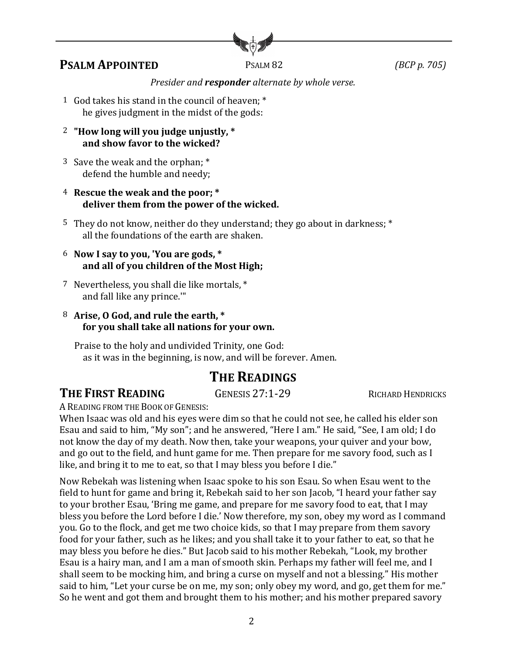

### **PSALM APPOINTED** PSALM 82 *(BCP p. 705)*

#### *Presider and responder alternate by whole verse.*

- 1 God takes his stand in the council of heaven; \* he gives judgment in the midst of the gods:
- <sup>2</sup> "How long will you judge unjustly, \* and show favor to the wicked?
- 3 Save the weak and the orphan; \* defend the humble and needy;
- 4 Rescue the weak and the poor; \* deliver them from the power of the wicked.
- 5 They do not know, neither do they understand; they go about in darkness; \* all the foundations of the earth are shaken.
- 6 **Now I say to you, 'You are gods, \*** and all of you children of the Most High;
- 7 Nevertheless, you shall die like mortals, \* and fall like any prince.""
- 8 Arise, O God, and rule the earth, \* for you shall take all nations for your own.

Praise to the holy and undivided Trinity, one God: as it was in the beginning, is now, and will be forever. Amen.

# **THE READINGS**

**THE FIRST READING GENESIS 27:1-29** RICHARD HENDRICKS

A READING FROM THE BOOK OF GENESIS:

When Isaac was old and his eyes were dim so that he could not see, he called his elder son Esau and said to him, "My son"; and he answered, "Here I am." He said, "See, I am old; I do not know the day of my death. Now then, take your weapons, your quiver and your bow, and go out to the field, and hunt game for me. Then prepare for me savory food, such as I like, and bring it to me to eat, so that I may bless you before I die."

Now Rebekah was listening when Isaac spoke to his son Esau. So when Esau went to the field to hunt for game and bring it, Rebekah said to her son Jacob, "I heard your father say to your brother Esau, 'Bring me game, and prepare for me savory food to eat, that I may bless you before the Lord before I die.' Now therefore, my son, obey my word as I command you. Go to the flock, and get me two choice kids, so that I may prepare from them savory food for your father, such as he likes; and you shall take it to your father to eat, so that he may bless you before he dies." But Jacob said to his mother Rebekah, "Look, my brother Esau is a hairy man, and I am a man of smooth skin. Perhaps my father will feel me, and I shall seem to be mocking him, and bring a curse on myself and not a blessing." His mother said to him, "Let your curse be on me, my son; only obey my word, and go, get them for me." So he went and got them and brought them to his mother; and his mother prepared savory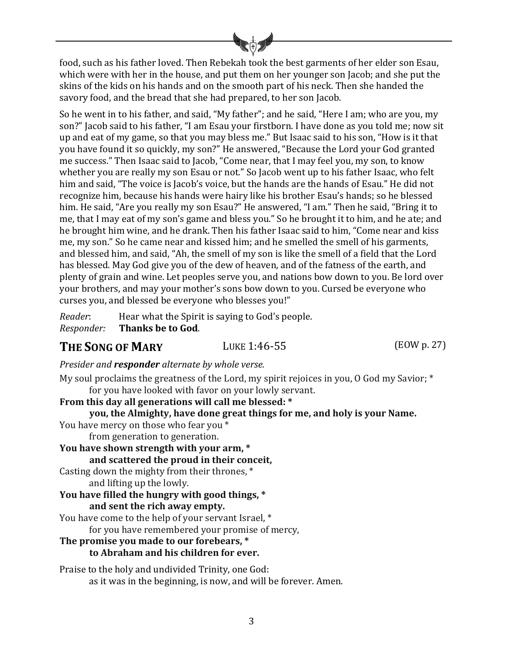food, such as his father loved. Then Rebekah took the best garments of her elder son Esau, which were with her in the house, and put them on her younger son Jacob; and she put the skins of the kids on his hands and on the smooth part of his neck. Then she handed the savory food, and the bread that she had prepared, to her son Jacob.

So he went in to his father, and said, "My father"; and he said, "Here I am; who are you, my son?" Jacob said to his father, "I am Esau your firstborn. I have done as you told me; now sit up and eat of my game, so that you may bless me." But Isaac said to his son, "How is it that you have found it so quickly, my son?" He answered, "Because the Lord your God granted me success." Then Isaac said to Jacob, "Come near, that I may feel you, my son, to know whether you are really my son Esau or not." So Jacob went up to his father Isaac, who felt him and said, "The voice is Jacob's voice, but the hands are the hands of Esau." He did not recognize him, because his hands were hairy like his brother Esau's hands; so he blessed him. He said, "Are you really my son Esau?" He answered, "I am." Then he said, "Bring it to me, that I may eat of my son's game and bless you." So he brought it to him, and he ate; and he brought him wine, and he drank. Then his father Isaac said to him, "Come near and kiss me, my son." So he came near and kissed him; and he smelled the smell of his garments, and blessed him, and said, "Ah, the smell of my son is like the smell of a field that the Lord has blessed. May God give you of the dew of heaven, and of the fatness of the earth, and plenty of grain and wine. Let peoples serve you, and nations bow down to you. Be lord over your brothers, and may your mother's sons bow down to you. Cursed be everyone who curses you, and blessed be everyone who blesses you!"

*Reader*: Hear what the Spirit is saying to God's people. *Responder:* Thanks be to God.

### **THE SONG OF MARY** LUKE 1:46-55 (EOW p. 27)

*Presider and responder alternate by whole verse.* 

My soul proclaims the greatness of the Lord, my spirit rejoices in you, O God my Savior;  $*$ for you have looked with favor on your lowly servant.

**From this day all generations will call me blessed: \***

**you, the Almighty, have done great things for me, and holy is your Name.**

You have mercy on those who fear you \* from generation to generation.

You have shown strength with your arm,  $*$ **and scattered the proud in their conceit,**

Casting down the mighty from their thrones,  $*$ and lifting up the lowly.

#### You have filled the hungry with good things, \* **and sent the rich away empty.**

You have come to the help of your servant Israel, \* for you have remembered your promise of mercy,

#### **The promise you made to our forebears, \***

#### **to Abraham and his children for ever.**

Praise to the holy and undivided Trinity, one God: as it was in the beginning, is now, and will be forever. Amen.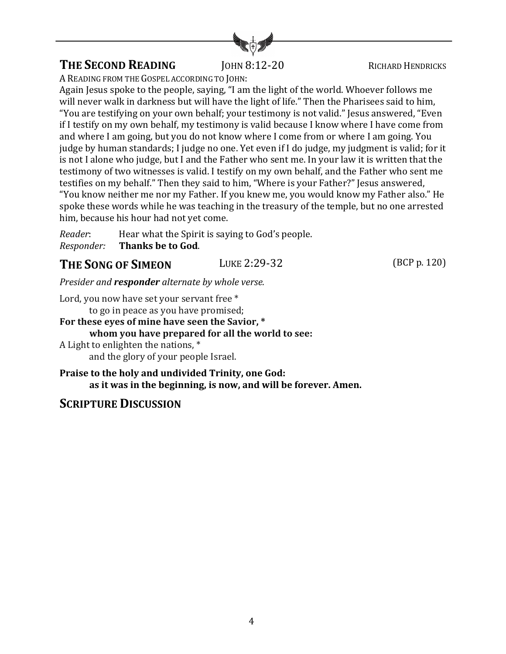

## **THE SECOND READING JOHN 8:12-20 RICHARD HENDRICKS**

A READING FROM THE GOSPEL ACCORDING TO JOHN:

Again Jesus spoke to the people, saying, "I am the light of the world. Whoever follows me will never walk in darkness but will have the light of life." Then the Pharisees said to him, "You are testifying on your own behalf; your testimony is not valid." Jesus answered, "Even if I testify on my own behalf, my testimony is valid because I know where I have come from and where I am going, but you do not know where I come from or where I am going. You judge by human standards; I judge no one. Yet even if I do judge, my judgment is valid; for it is not I alone who judge, but I and the Father who sent me. In your law it is written that the testimony of two witnesses is valid. I testify on my own behalf, and the Father who sent me testifies on my behalf." Then they said to him, "Where is your Father?" Jesus answered, "You know neither me nor my Father. If you knew me, you would know my Father also." He spoke these words while he was teaching in the treasury of the temple, but no one arrested him, because his hour had not yet come.

*Reader*: Hear what the Spirit is saying to God's people. *Responder:* **Thanks be to God**.

### **THE SONG OF SIMEON** LUKE 2:29-32 (BCP p. 120)

*Presider and responder alternate by whole verse.* 

Lord, you now have set your servant free \*

to go in peace as you have promised;

### For these eyes of mine have seen the Savior, \* **whom you have prepared for all the world to see:** A Light to enlighten the nations,  $*$

and the glory of your people Israel.

**Praise to the holy and undivided Trinity, one God:** as it was in the beginning, is now, and will be forever. Amen.

### **SCRIPTURE DISCUSSION**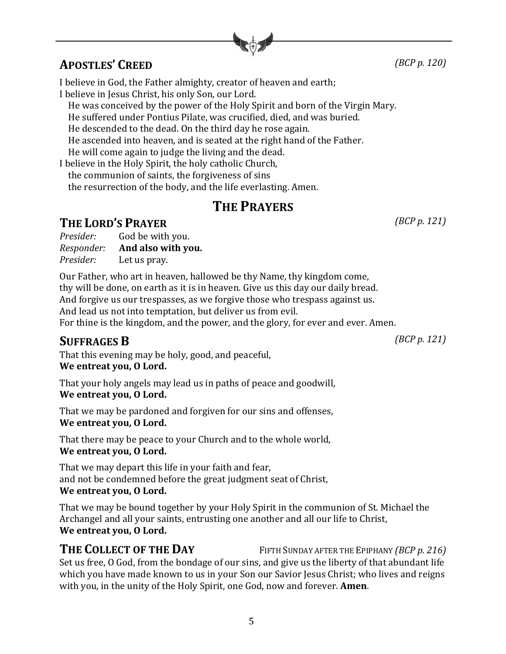**APOSTLES' CREED** *(BCP p. 120)*

I believe in God, the Father almighty, creator of heaven and earth; I believe in Jesus Christ, his only Son, our Lord.

He was conceived by the power of the Holy Spirit and born of the Virgin Mary.

He suffered under Pontius Pilate, was crucified, died, and was buried.

He descended to the dead. On the third day he rose again.

He ascended into heaven, and is seated at the right hand of the Father.

He will come again to judge the living and the dead.

I believe in the Holy Spirit, the holy catholic Church,

the communion of saints, the forgiveness of sins

the resurrection of the body, and the life everlasting. Amen.

# **THE PRAYERS**

# **THE LORD'S PRAYER** *(BCP p. 121)*

| Presider:  | God be with you.   |
|------------|--------------------|
| Responder: | And also with you. |
| Presider:  | Let us pray.       |

Our Father, who art in heaven, hallowed be thy Name, thy kingdom come, thy will be done, on earth as it is in heaven. Give us this day our daily bread. And forgive us our trespasses, as we forgive those who trespass against us. And lead us not into temptation, but deliver us from evil. For thine is the kingdom, and the power, and the glory, for ever and ever. Amen.

# **SUFFRAGES B** *(BCP p. 121)*

That this evening may be holy, good, and peaceful, We entreat you, O Lord.

That your holy angels may lead us in paths of peace and goodwill, We entreat you, O Lord.

That we may be pardoned and forgiven for our sins and offenses, We entreat you, O Lord.

That there may be peace to your Church and to the whole world, We entreat you, O Lord.

That we may depart this life in your faith and fear, and not be condemned before the great judgment seat of Christ, We entreat you, O Lord.

That we may be bound together by your Holy Spirit in the communion of St. Michael the Archangel and all your saints, entrusting one another and all our life to Christ, We entreat you, O Lord.

#### **THE COLLECT OF THE DAY** FIFTH SUNDAY AFTER THE EPIPHANY *(BCP* p. 216) Set us free, O God, from the bondage of our sins, and give us the liberty of that abundant life which you have made known to us in your Son our Savior Jesus Christ; who lives and reigns with you, in the unity of the Holy Spirit, one God, now and forever. **Amen**.

5